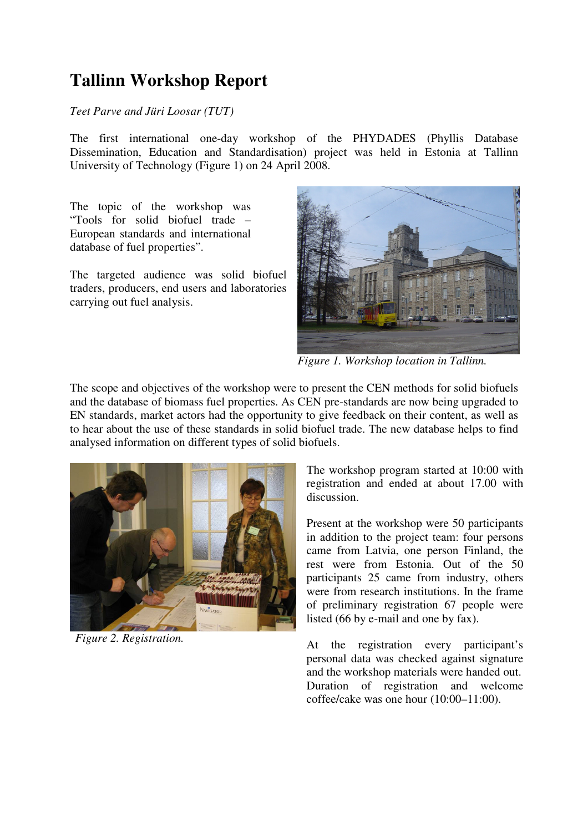## **Tallinn Workshop Report**

*Teet Parve and Jüri Loosar (TUT)* 

The first international one-day workshop of the PHYDADES (Phyllis Database Dissemination, Education and Standardisation) project was held in Estonia at Tallinn University of Technology (Figure 1) on 24 April 2008.

The topic of the workshop was "Tools for solid biofuel trade – European standards and international database of fuel properties".

The targeted audience was solid biofuel traders, producers, end users and laboratories carrying out fuel analysis.



*Figure 1. Workshop location in Tallinn.* 

The scope and objectives of the workshop were to present the CEN methods for solid biofuels and the database of biomass fuel properties. As CEN pre-standards are now being upgraded to EN standards, market actors had the opportunity to give feedback on their content, as well as to hear about the use of these standards in solid biofuel trade. The new database helps to find analysed information on different types of solid biofuels.



*Figure 2. Registration.* 

The workshop program started at 10:00 with registration and ended at about 17.00 with discussion.

Present at the workshop were 50 participants in addition to the project team: four persons came from Latvia, one person Finland, the rest were from Estonia. Out of the 50 participants 25 came from industry, others were from research institutions. In the frame of preliminary registration 67 people were listed (66 by e-mail and one by fax).

At the registration every participant's personal data was checked against signature and the workshop materials were handed out. Duration of registration and welcome coffee/cake was one hour (10:00–11:00).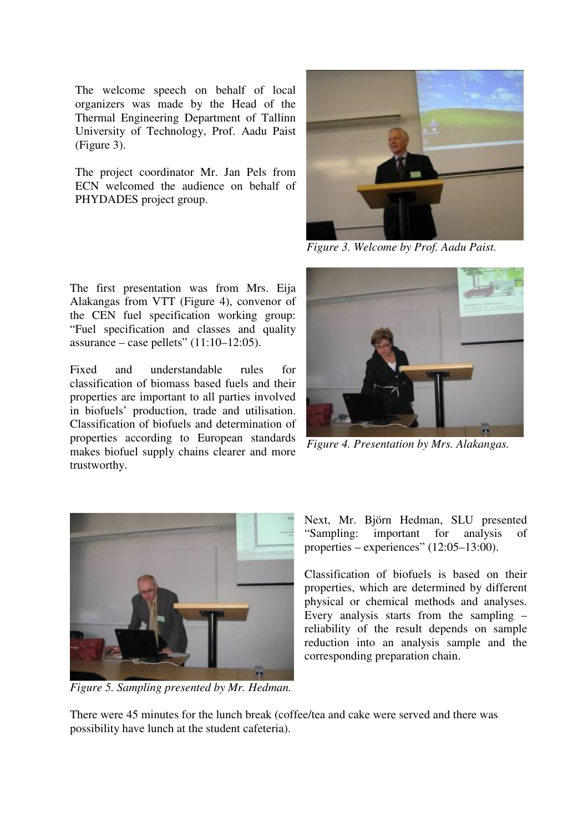The welcome speech on behalf of local organizers was made by the Head of the Thermal Engineering Department of Tallinn University of Technology, Prof. Aadu Paist (Figure 3).

The project coordinator Mr. Jan Pels from ECN welcomed the audience on behalf of PHYDADES project group.



*Figure 3. Welcome by Prof. Aadu Paist.* 

The first presentation was from Mrs. Eija Alakangas from VTT (Figure 4), convenor of the CEN fuel specification working group: "Fuel specification and classes and quality assurance – case pellets"  $(11:10-12:05)$ .

Fixed and understandable rules for classification of biomass based fuels and their properties are important to all parties involved in biofuels' production, trade and utilisation. Classification of biofuels and determination of properties according to European standards makes biofuel supply chains clearer and more trustworthy.



*Figure 4. Presentation by Mrs. Alakangas.* 



*Figure 5. Sampling presented by Mr. Hedman.*

Next, Mr. Björn Hedman, SLU presented "Sampling: important for analysis of properties – experiences" (12:05–13:00).

Classification of biofuels is based on their properties, which are determined by different physical or chemical methods and analyses. Every analysis starts from the sampling – reliability of the result depends on sample reduction into an analysis sample and the corresponding preparation chain.

There were 45 minutes for the lunch break (coffee/tea and cake were served and there was possibility have lunch at the student cafeteria).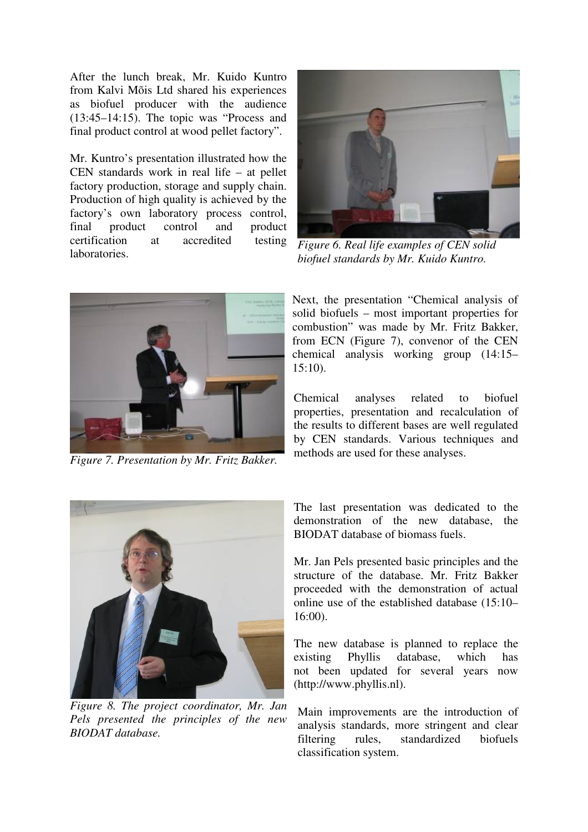After the lunch break, Mr. Kuido Kuntro from Kalvi Mõis Ltd shared his experiences as biofuel producer with the audience (13:45–14:15). The topic was "Process and final product control at wood pellet factory".

Mr. Kuntro's presentation illustrated how the CEN standards work in real life – at pellet factory production, storage and supply chain. Production of high quality is achieved by the factory's own laboratory process control, final product control and product certification at accredited testing laboratories.



methods are used for these analyses. *Figure 7. Presentation by Mr. Fritz Bakker.*



*Figure 6. Real life examples of CEN solid biofuel standards by Mr. Kuido Kuntro.* 

Next, the presentation "Chemical analysis of solid biofuels – most important properties for combustion" was made by Mr. Fritz Bakker, from ECN (Figure 7), convenor of the CEN chemical analysis working group (14:15– 15:10).

Chemical analyses related to biofuel properties, presentation and recalculation of the results to different bases are well regulated by CEN standards. Various techniques and



*Figure 8. The project coordinator, Mr. Jan Pels presented the principles of the new BIODAT database.*

The last presentation was dedicated to the demonstration of the new database, the BIODAT database of biomass fuels.

Mr. Jan Pels presented basic principles and the structure of the database. Mr. Fritz Bakker proceeded with the demonstration of actual online use of the established database (15:10– 16:00).

The new database is planned to replace the existing Phyllis database, which has not been updated for several years now (http://www.phyllis.nl).

Main improvements are the introduction of analysis standards, more stringent and clear filtering rules, standardized biofuels classification system.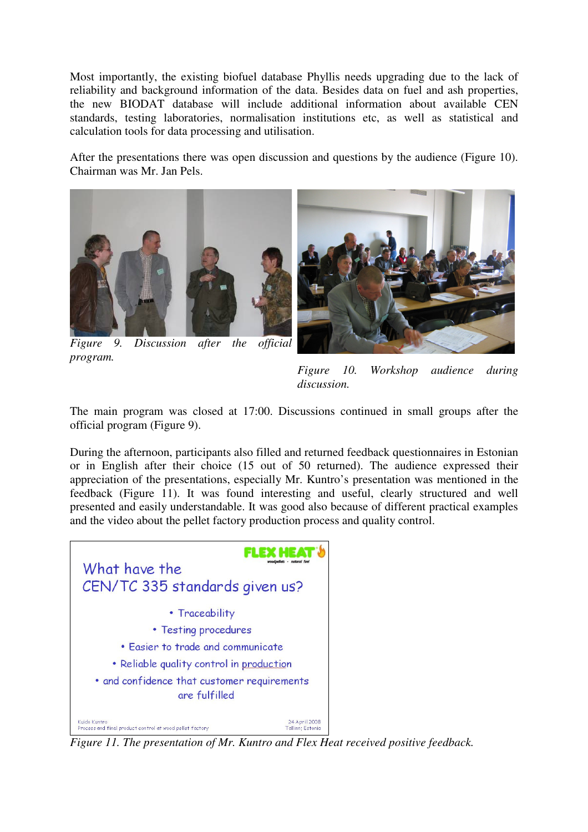Most importantly, the existing biofuel database Phyllis needs upgrading due to the lack of reliability and background information of the data. Besides data on fuel and ash properties, the new BIODAT database will include additional information about available CEN standards, testing laboratories, normalisation institutions etc, as well as statistical and calculation tools for data processing and utilisation.

After the presentations there was open discussion and questions by the audience (Figure 10). Chairman was Mr. Jan Pels.



*Figure 9. Discussion after the official program.*

*Figure 10. Workshop audience during discussion.* 

The main program was closed at 17:00. Discussions continued in small groups after the official program (Figure 9).

During the afternoon, participants also filled and returned feedback questionnaires in Estonian or in English after their choice (15 out of 50 returned). The audience expressed their appreciation of the presentations, especially Mr. Kuntro's presentation was mentioned in the feedback (Figure 11). It was found interesting and useful, clearly structured and well presented and easily understandable. It was good also because of different practical examples and the video about the pellet factory production process and quality control.



*Figure 11. The presentation of Mr. Kuntro and Flex Heat received positive feedback.*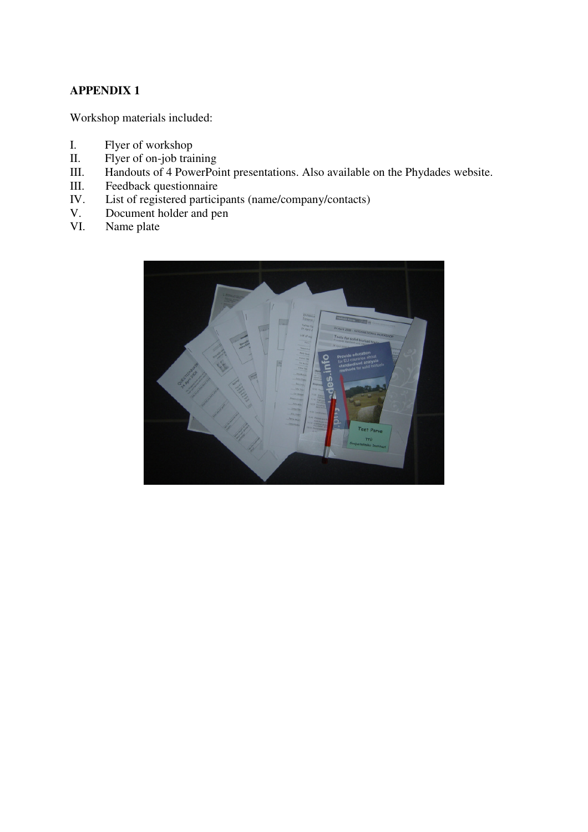## **APPENDIX 1**

Workshop materials included:

- I. Flyer of workshop<br>II. Flyer of on-job trai
- II. Flyer of on-job training<br>III. Handouts of 4 PowerPoi
- III. Handouts of 4 PowerPoint presentations. Also available on the Phydades website.<br>III. Feedback questionnaire
- III. Feedback questionnaire<br>IV. List of registered partici
- IV. List of registered participants (name/company/contacts)<br>V. Document holder and pen
- V. Document holder and pen<br>VI. Name plate
- Name plate